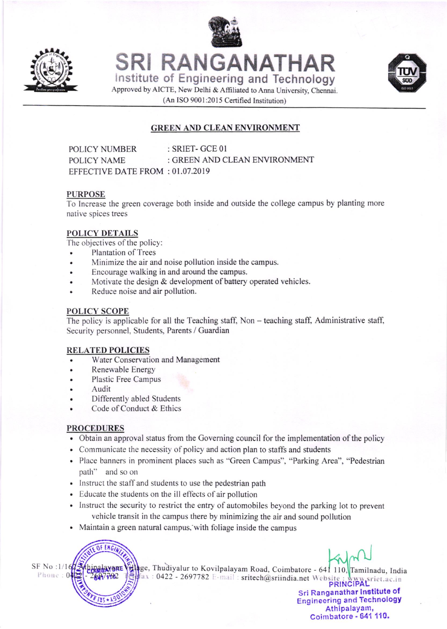

**CALL** 

lnstitute of Engineering and Technology SRI RANGANATHAR



Approved by AICTE, New Delhi & Affiliated to Anna University, Chennai. (An ISO 9001:2015 Certified Institution)

# GREEN AND CLEAN ENVIRONMENT

POLICY NUMBER : SRIET- GCE 01 POLICY NAME : GREEN AND CLEAN ENVIRONMENT EFFECTIVE DATE FROM :01.07.2019

### PURPoSE

To lncrease the green coverage both inside and outside the college campus by planting more native spices trees

# POLICY DETAILS

The objectives of the policy:

- Plantation of Trees
- . Minimize the air and noise pollution inside the campus.
- . Encourage walking in and around the campus.
- Motivate the design  $&$  development of battery operated vehicles.
- . Reduce noise and air pollution.

### POLICY SCOPE

The policy is applicable for all the Teaching staff, Non - teaching staff, Administrative staff, Security personnel, Students, Parents / Guardian

### RELATED POLICIES

- Water Conservation and Management
- Renewable Energy
- Plastic Free Campus
- Audit
- Differently abled Students
- Code of Conduct & Ethics

# PROCEDURES

- Obtain an approval status from the Governing council for the implementation of the policy
- Communicate the necessity of policy and action plan to staffs and students
- Place banners in prominent places such as ''Green Campus". "Parking Area", "Pedestrian path" and so on
- Instruct the staff and students to use the pedestrian path
- Educate the students on the ill effects of air pollution
- lnstruct the security to restrict the entry of automobiles beyond the parking lot to prevent vehicle transit in the campus there by minimizing the air and sound pollution
- Maintain a green natural campus, with foliage inside the campus

OF ENGL SF No :1/16  $\frac{\pi}{2}$  binalayers

 $\frac{1}{2}$  age, Thudiyalur to Kovilpalayam Road, Coimbatore - 641 110, Tamilnadu, India sritech@sriindia.net Website : www.griet.ac.in  $ax : 0422 - 2697782$ 

Sri Ranganathar lnstitute of Engineering and TechnologY Athipalayam, Coimbatore - 641 110.